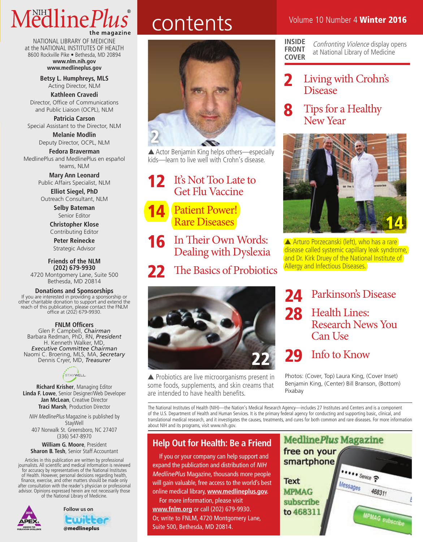#### Medline Plus® the magazine

NATIONAL LIBRARY OF MEDICINE at the NATIONAL INSTITUTES OF HEALTH 8600 Rockville Pike • Bethesda, MD 20894 **www.nlm.nih.gov www.medlineplus.gov**

> **Betsy L. Humphreys, MLS** Acting Director, NLM

**Kathleen Cravedi** Director, Office of Communications and Public Liaison (OCPL), NLM

**Patricia Carson** Special Assistant to the Director, NLM

**Melanie Modlin** Deputy Director, OCPL, NLM

**Fedora Braverman** MedlinePlus and MedlinePlus en español teams, NLM

> **Mary Ann Leonard** Public Affairs Specialist, NLM

**Elliot Siegel, PhD** Outreach Consultant, NLM

> **Selby Bateman** Senior Editor

**Christopher Klose** Contributing Editor

**Peter Reinecke**

Strategic Advisor **Friends of the NLM**

**(202) 679-9930** 4720 Montgomery Lane, Suite 500 Bethesda, MD 20814

**Donations and Sponsorships**<br>If you are interested in providing a sponsorship or<br>other charitable donation to support and extend the<br>reach of this publication, please contact the FNLM<br>office at (202) 679-9930.

#### **FNLM Officers**

Glen P. Campbell, *Chairman* Barbara Redman, PhD, RN, *President* H. Kenneth Walker, MD, *Executive Committee Chairman* Naomi C. Broering, MLS, MA, *Secretary* Dennis Cryer, MD, *Treasurer*



**Richard Krisher**, Managing Editor **Linda F. Lowe**, Senior Designer/Web Developer **Jan McLean**, Creative Director **Traci Marsh**, Production Director

*NIH MedlinePlus* Magazine is published by **StayWell** 407 Norwalk St. Greensboro, NC 27407 (336) 547-8970

**William G. Moore**, President **Sharon B. Tesh**, Senior Staff Accountant

Articles in this publication are written by professional journalists. All scientific and medical information is reviewed for accuracy by representatives of the National Institutes of Health. However, personal decisions regarding health, finance, exercise, and other matters should be made only after consultation with the reader's physician or professional advisor. Opinions expressed herein are not necessarily those of the National Library of Medicine.



#### **Follow us on**  witt @medlineplus

## CONTENTS Volume 10 Number 4 Winter 2016



▲ Actor Benjamin King helps others—especially kids—learn to live well with Crohn's disease.

12 It's Not Too Late to Get Flu Vaccine

Patient Power! Rare Diseases

- **16** In Their Own Words: Dealing with Dyslexia
- 22 The Basics of Probiotics



▲ Probiotics are live microorganisms present in some foods, supplements, and skin creams that are intended to have health benefits.

**INSIDE FRONT COVER** *Confronting Violence* display opens at National Library of Medicine

- 2 Living with Crohn's Disease
- 8 Tips for a Healthy New Year



▲ Arturo Porzecanski (left), who has a rare disease called systemic capillary leak syndrome, and Dr. Kirk Druey of the National Institute of Allergy and Infectious Diseases.

24 Parkinson's Disease 28 Health Lines: Research News You Can Use

29 Info to Know

Photos: (Cover, Top) Laura King, (Cover Inset) Benjamin King, (Center) Bill Branson, (Bottom) Pixabay

The National Institutes of Health (NIH)—the Nation's Medical Research Agency—includes 27 Institutes and Centers and is a component of the U.S. Department of Health and Human Services. It is the primary federal agency for conducting and supporting basic, clinical, and translational medical research, and it investigates the causes, treatments, and cures for both common and rare diseases. For more information about NIH and its programs, visit www.nih.gov.

#### **Help Out for Health: Be a Friend**

If you or your company can help support and expand the publication and distribution of *NIH MedlinePlus* Magazine, thousands more people will gain valuable, free access to the world's best online medical library, **www.medlineplus.gov.**

For more information, please visit **www.fnlm.org** or call (202) 679-9930. Or, write to FNLM, 4720 Montgomery Lane, Suite 500, Bethesda, MD 20814.

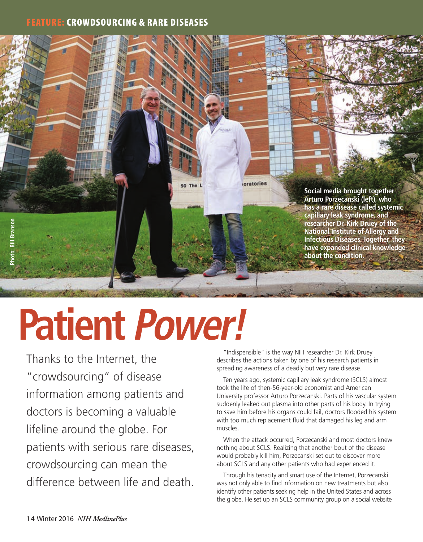#### FEATURE: CROWDSOURCING & RARE DISEASES

**Social media brought together Arturo Porzecanski (left), who has a rare disease called systemic capillary leak syndrome, and researcher Dr. Kirk Druey of the National Institute of Allergy and Infectious Diseases. Together, they have expanded clinical knowledge about the condition.**

# **Patient** *Power!*

Thanks to the Internet, the "crowdsourcing" of disease information among patients and doctors is becoming a valuable lifeline around the globe. For patients with serious rare diseases, crowdsourcing can mean the difference between life and death.

"Indispensible" is the way NIH researcher Dr. Kirk Druey describes the actions taken by one of his research patients in spreading awareness of a deadly but very rare disease.

**oratories** 

Ten years ago, systemic capillary leak syndrome (SCLS) almost took the life of then-56-year-old economist and American University professor Arturo Porzecanski. Parts of his vascular system suddenly leaked out plasma into other parts of his body. In trying to save him before his organs could fail, doctors flooded his system with too much replacement fluid that damaged his leg and arm muscles.

When the attack occurred, Porzecanski and most doctors knew nothing about SCLS. Realizing that another bout of the disease would probably kill him, Porzecanski set out to discover more about SCLS and any other patients who had experienced it.

Through his tenacity and smart use of the Internet, Porzecanski was not only able to find information on new treatments but also identify other patients seeking help in the United States and across the globe. He set up an SCLS community group on a social website

**Photo: Bill Branson**

noto: